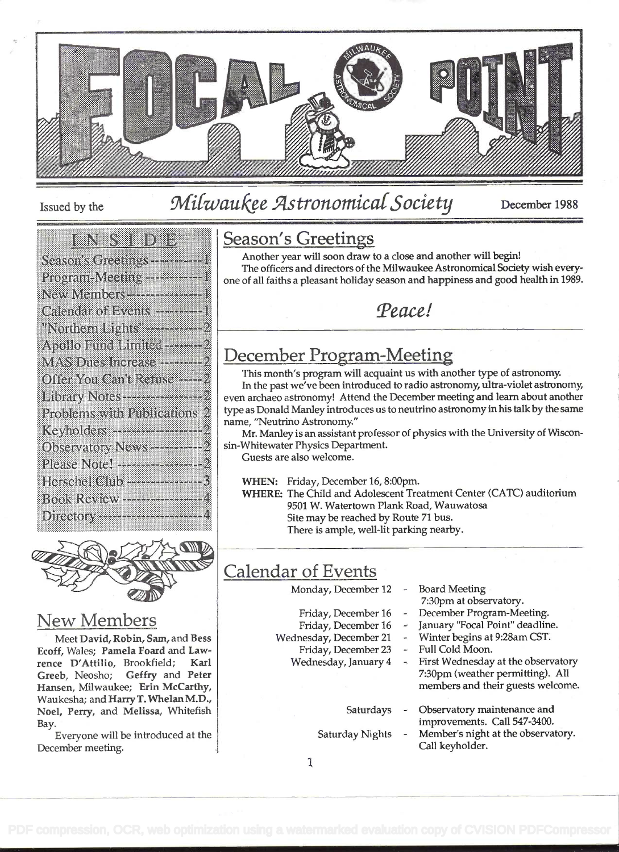

# Issued by the Milwaukee Astronomical Society December 1988

#### **TANA**

| Season's Greetings-----------1                                                            |
|-------------------------------------------------------------------------------------------|
| Program-Meeting ------------1                                                             |
| New Members -------------------                                                           |
| Calendar of Events -------------                                                          |
| "Northern Lights" <del>- 1988</del> –1992                                                 |
| Apollo Fund Limited                                                                       |
| MAS Dues Increase -------------                                                           |
| Offer You Can't Refuse -----2                                                             |
|                                                                                           |
| Problems with Publications 2                                                              |
| Keyholders --------------------                                                           |
| Observatory News----------2                                                               |
|                                                                                           |
| Herschel Club -------------------                                                         |
| <b>Book Review ------------------</b> 4<br>Directory <b>Property of the Second Second</b> |
|                                                                                           |



#### New Members

Meet David, Robin, Sam, and Bess Ecoff, Wales; Pamela Foard and Lawrence D'Attilio, Brookfield; Karl Greeb, Neosho; Geffry and Peter Hansen, Milwaukee; Erin McCarthy, Waukesha; and Harry T. Whelan M.D., Noel, Perry, and Melissa, Whitefish Bay.

Everyone will be introduced at the December meeting.

#### Season's Greetings

Another year will soon draw to a close and another will begin! The officers and directors of the Milwaukee Astronomical Society wish everyone of all faiths a pleasant holiday season and happiness and good health in 1989.

Peace!

## December Program-Meeting

This month's program will acquaint us with another type of astronomy. In the past we've been introduced to radio astronomy, ultra-violet astronomy, even archaeo astronomy! Attend the December meeting and learn about another type as Donald Manley introduces us to neutrino astronomy in his talk by the same name, "Neutrino Astronomy."

Mr. Manley is an assistant professor of physics with the University of Wisconsin-Whitewater Physics Department.

Guests are also welcome.

WHEN: Friday, December 16, 8:00pm.

WHERE: The Child and Adolescent Treatment Center (CATC) auditorium 9501 W. Watertown Plank Road, Wauwatosa Site may be reached by Route 71 bus. There is ample, well-lit parking nearby.

## Calendar of Events

Monday, December 12

Friday, December 16 Friday, December 16

- Board Meeting
- 7:30pm at observatory.
- December Program-Meeting.
- January "Focal Point" deadline. Winter begins at 9:28am CST.
- Wednesday, December 21 -<br>Friday, December 23 -Full Cold Moon.
	- Friday, December 23 Wednesday, January 4
		- First Wednesday at the observatory 7:30pm (weather permitting). All members and their guests welcome.
		- Saturdays Observatory maintenance and
		-
- improvements. Call 547-3400. Saturday Nights - Member's night at the observatory. Call keyholder.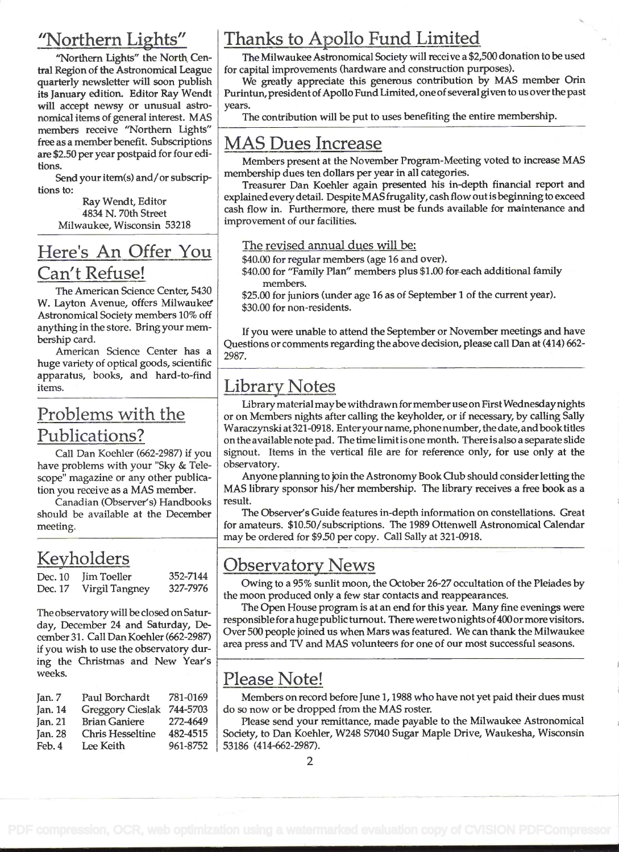### "Northern Lights"

"Northern Lights" the North Cenfrai Region of the Astronomical League quarterly newsletter will soon publish its January edition. Editor Ray Wendt will accept newsy or unusual astronomical items of general interest. MAS members receive "Northern Lights" free as a member benefit. Subscriptions are \$2.50 per year postpaid for four editions.

Send your item(s) and/or subscriptions to:

> Ray Wendt, Editor 4834 N. 70th Street Milwaukee, Wisconsin 53218

## Here's An Offer You Can't Refuse!

The American Science Center, 5430 W. Layton Avenue, offers Milwaukee Astronomical Society members 10% off anything in the store. Bring your membership card.

American Science Center has a huge variety of optical goods, scientific apparatus, books, and hard-to-find items.

### Problems with the Publications?

Call Dan Koehier (662-2987) if you have problems with your "Sky & Telescope" magazine or any other publication you receive as a MAS member.

Canadian (Observer's) Handbooks should be available at the December meeting.

## Keyholders

|         | Dec. 10 Jim Toeller | 352-7144     |  |
|---------|---------------------|--------------|--|
| Dec. 17 | Virgil Tangney      | $327 - 7976$ |  |

The observatory will be closed on Saturday, December 24 and Saturday, December 31 . Call Dan Koehler (662-2987) if you wish to use the observatory during the Christmas and New Year's weeks.

| Jan. $7$ | Paul Borchardt          | 781-0169 |     |
|----------|-------------------------|----------|-----|
| Jan. 14  | <b>Greggory Cieslak</b> | 744-5703 | do  |
| Tan. 21  | <b>Brian Ganiere</b>    | 272-4649 |     |
| Jan. 28  | <b>Chris Hesseltine</b> | 482-4515 | Sc  |
| Feb. 4   | Lee Keith               | 961-8752 | -53 |

# Thanks to Apollo Fund Limited

The Milwaukee Astronomical Society will receive a \$2,500 donation to be used for capital improvements (hardware and construction purposes).

We greatly appreciate this generous contribution by MAS member Orin Purintun, president of Apollo Fund Limited, one of several given to us over the past years.

The contribution will be put to uses benefiting the entire membership.

# MAS Dues Increase

Members present at the November Program-Meeting voted to increase MAS membership dues ten dollars per year in all categories.

Treasurer Dan Koehler again presented his in-depth financial report and explained every detail. Despite MAS frugality, cash flow out is beginning to exceed cash flow in. Furthermore, there must be funds available for maintenance and improvement of our facilities.

#### The revised annual dues will be:

\$40.00 for regular members (age 16 and over).

\$40.00 for "Family Plan" members plus \$1.00 for each additional family members.

\$25.00 for juniors (under age 16 as of September 1 of the current year). \$30.00 for non-residents.

If you were unable to attend the September or November meetings and have Questions or comments regarding the above decision, please call Dan at (414) 662-2987.

## Library Notes

Library material maybe withdrawn formember use on First Wednesday nights or on Members nights after calling the keyholder, or if necessary, by calling Sally Waraczynski at 321-0918. Enteryour name, phone number, the date, andbooktitles on the available note pad. The time limit is one month. There is also a separate slide signout. Items in the vertical file are for reference only, for use only at the observatory.

Anyone planning to join the Astronomy Book Club should consider letting the MAS library sponsor his/her membership. The library receives a free book as a result.

The Observer's Guide features in-depth information on constellations. Great for amateurs. \$10.50/subscriptions. The 1989 Ottenwell Astronomical Calendar may be ordered for \$9.50 per copy. Call Sally at 321-0918.

## Observatory News

Owing to a 95% sunlit moon, the October 26-27 occultation of the Pleiades by the moon produced only a few star contacts and reappearances.

The Open House program is at an end for this year. Many fine evenings were responsible for a huge public turnout. There were two nights of400 or more visitors. Over 500 people joined us when Mars was featured. We can thank the Milwaukee area press and TV and MAS volunteers for one of our most successful seasons.

## Please Note!

Members on record before June 1, 1988 who have not yet paid their dues must do so now or be dropped from the MAS roster.

Please send your remittance, made payable to the Milwaukee Astronomical Society, to Dan Koehier, W248 S7040 Sugar Maple Drive, Waukesha, Wisconsin 53186 (414-662-2987).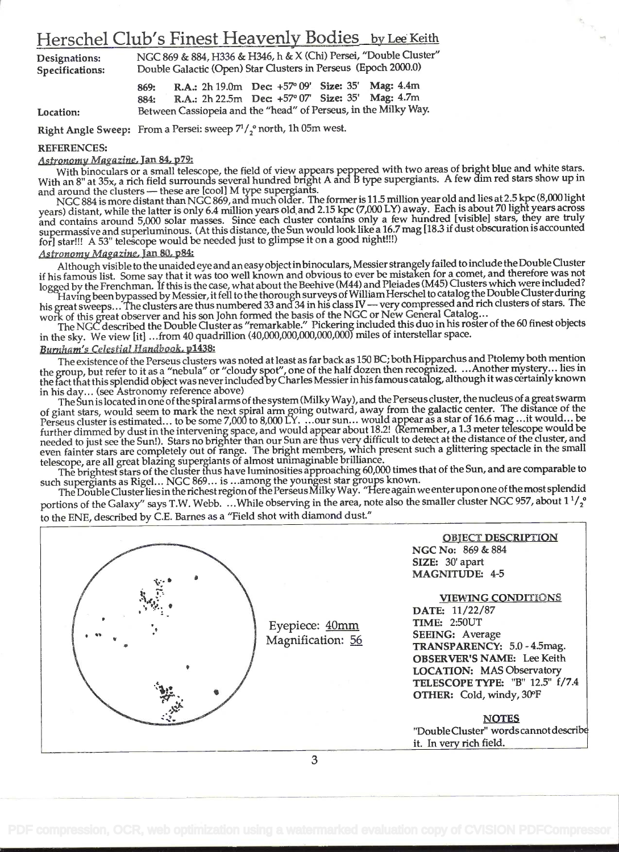### Herschel Club's Finest Heavenly Bodies by Lee Keith

Designations: NGC 869 & 884, H336 & H346, h & X (Chi) Persei, "Double Cluster"<br>Specifications: Double Galactic (Open) Star Clusters in Perseus (Epoch 2000.0) Double Galactic (Open) Star Clusters in Perseus (Epoch 2000.0)

869: R.A.: 2h 19.0m Dec: +57° 09' Size: 35' Mag: 4.4m 884: R.A.: 2h 22.5m Dec +57° 07' Size: 35' Mag: 4.7m Location: Between Cassiopeia and the "head" of Perseus, in the Milky Way.

Right Angle Sweep: From a Persei: sweep  $7^{1}/2$  north, 1h 05m west.

#### REFERENCES:

#### Astronomy Magazine, Jan 84, p79:

With binoculars or a small telescope, the field of view appears peppered with two areas of bright blue and white stars. With an 8" at 35x, a rich field surrounds several hundred bnght A and B type supergiants. A few dim red stars show up in With binoculars or a small telescope, the field of view appears peppered with two areas of bight bind that which<br>With an 8" at 35x, a rich field surrounds several hundred bright A and B type supergiants. A few dim red star

years) distant, while the latter is only 6.4 million years old and 2.15 kpc (7,000 LY) away. Each is about 70 light years across and contains around 5,000 solar masses. Since each cluster contains only a few hundred [visible] stars, they are truly supermassive and superluminous. (At this distance, the Sun would look like a 16.7 mag [18.3 if dust obscuration is accounted fori star!!! A 53" telescope would be needed just to glimpse it on a good night!!!)

#### Astronomy Magazine, Jan 80, p84:

Although visible to the unaided eye and an easy object inbinoculars, Messier strangely failed to include theDouble Cluster if his famous list. Some say that it was too well known and obvious to ever be mistaken for a comet, and therefore was not logged by the Frenchman. If this is the case, what about the Beehive (M44) and Pleiades (M45) Clusters which were included?

logged by the Frenchman. If this is the case, what about the beenive (M44) and Fielades (M45) Citisters which were included.<br>Having been bypassed by Messier, it fell to the thorough surveys of William Herschel to catalog t work of this great observer and his son John formed the basis of the NGC or New General Catalog...

The NCC described the Double Cluster as "remarkable." Pickering included this duo in his roster of the 60 finest objects in the sky. We view [it] . . .from 40 quadrillion (40,000,000,000,000,000) miles of interstellar space.

#### Burnham's Celestial Handbook. p1438:

The existence of the Perseus clusters was noted at least as far back as 150 BC; both Hipparchus and Ptolemy both mention the group, but refer to it as a "nebula" or "cloudy spot", one of the half dozen then recognized. ...Another mystery... lies in the fact that this splendid object was never included by Charles Messier in his famous catalog, although it was certainly known in his day... (see Astronomy reference above)

The Sun is located in one ofthe spiral arms of the system (MilkyWay), and the Perseus cluster, the nucleus of a great swarm of giant stars, would seem to mark the next spiral arm going outward, away from the galactic center. The distance of the or glant stars, would seem to haifk the field spint time sing cluster, would appear as a star of 16.6 mag ...it would... be<br>Perseus cluster is estimated... to be some 7,000 to 8,000 LY. ...our sun... would appear as a star further dimmed by dust in the intervening space, and would appear about 18.2! (Remember, a 1.3 meter telescope would be<br>further dimmed by dust in the intervening space, and would appear about 18.2! (Remember, a 1.3 meter t needed to just see the Sun!). Stars no brighter than our Sun are thus very difficult to detect at the distance of the cluster, and needed to just see the Sun!). Stars no brighter than our Sun are thus very difficult to det even fainter stars are completely out of range. The bright members, wihich present such a glittering spectacle in the small telescope, are all great blazing supergiants of almost unimaginable brilliance.

The brightest stars of the cluster thus have luminosities approaching 60,000 times that of the Sun, and are comparable to such supergiants as Rigel... NGC 869... is ...among the youngest star groups known.

The Double Cluster lies in the richest region of the Perseus Milky Way. "Here again we enter upon one of the most splendid portions of the Galaxy" says T.W. Webb. ...While observing in the area, note also the smaller cluster NGC 957, about  $1\frac{1}{2}$ to the ENE, described by C.E. Barnes as a "Field shot with diamond dust."